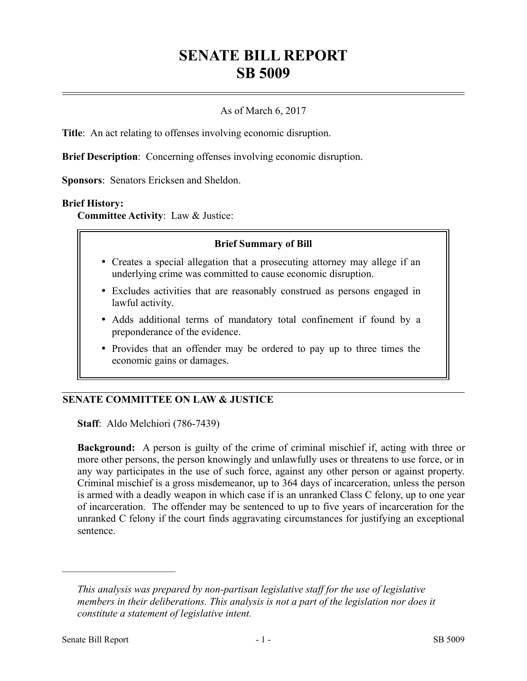# **SENATE BILL REPORT SB 5009**

# As of March 6, 2017

**Title**: An act relating to offenses involving economic disruption.

**Brief Description**: Concerning offenses involving economic disruption.

**Sponsors**: Senators Ericksen and Sheldon.

#### **Brief History:**

**Committee Activity**: Law & Justice:

#### **Brief Summary of Bill**

- Creates a special allegation that a prosecuting attorney may allege if an underlying crime was committed to cause economic disruption.
- Excludes activities that are reasonably construed as persons engaged in lawful activity.
- Adds additional terms of mandatory total confinement if found by a preponderance of the evidence.
- Provides that an offender may be ordered to pay up to three times the economic gains or damages.

## **SENATE COMMITTEE ON LAW & JUSTICE**

**Staff**: Aldo Melchiori (786-7439)

**Background:** A person is guilty of the crime of criminal mischief if, acting with three or more other persons, the person knowingly and unlawfully uses or threatens to use force, or in any way participates in the use of such force, against any other person or against property. Criminal mischief is a gross misdemeanor, up to 364 days of incarceration, unless the person is armed with a deadly weapon in which case if is an unranked Class C felony, up to one year of incarceration. The offender may be sentenced to up to five years of incarceration for the unranked C felony if the court finds aggravating circumstances for justifying an exceptional sentence.

––––––––––––––––––––––

*This analysis was prepared by non-partisan legislative staff for the use of legislative members in their deliberations. This analysis is not a part of the legislation nor does it constitute a statement of legislative intent.*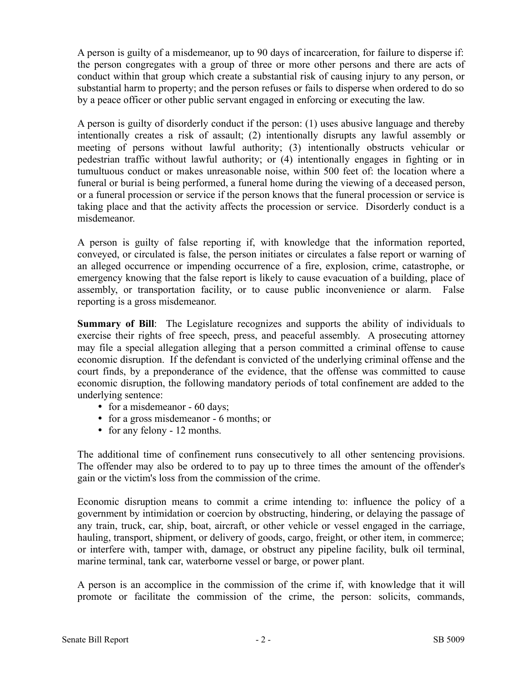A person is guilty of a misdemeanor, up to 90 days of incarceration, for failure to disperse if: the person congregates with a group of three or more other persons and there are acts of conduct within that group which create a substantial risk of causing injury to any person, or substantial harm to property; and the person refuses or fails to disperse when ordered to do so by a peace officer or other public servant engaged in enforcing or executing the law.

A person is guilty of disorderly conduct if the person: (1) uses abusive language and thereby intentionally creates a risk of assault; (2) intentionally disrupts any lawful assembly or meeting of persons without lawful authority; (3) intentionally obstructs vehicular or pedestrian traffic without lawful authority; or (4) intentionally engages in fighting or in tumultuous conduct or makes unreasonable noise, within 500 feet of: the location where a funeral or burial is being performed, a funeral home during the viewing of a deceased person, or a funeral procession or service if the person knows that the funeral procession or service is taking place and that the activity affects the procession or service. Disorderly conduct is a misdemeanor.

A person is guilty of false reporting if, with knowledge that the information reported, conveyed, or circulated is false, the person initiates or circulates a false report or warning of an alleged occurrence or impending occurrence of a fire, explosion, crime, catastrophe, or emergency knowing that the false report is likely to cause evacuation of a building, place of assembly, or transportation facility, or to cause public inconvenience or alarm. False reporting is a gross misdemeanor.

**Summary of Bill**: The Legislature recognizes and supports the ability of individuals to exercise their rights of free speech, press, and peaceful assembly. A prosecuting attorney may file a special allegation alleging that a person committed a criminal offense to cause economic disruption. If the defendant is convicted of the underlying criminal offense and the court finds, by a preponderance of the evidence, that the offense was committed to cause economic disruption, the following mandatory periods of total confinement are added to the underlying sentence:

- for a misdemeanor 60 days;
- for a gross misdemeanor 6 months; or
- for any felony 12 months.

The additional time of confinement runs consecutively to all other sentencing provisions. The offender may also be ordered to to pay up to three times the amount of the offender's gain or the victim's loss from the commission of the crime.

Economic disruption means to commit a crime intending to: influence the policy of a government by intimidation or coercion by obstructing, hindering, or delaying the passage of any train, truck, car, ship, boat, aircraft, or other vehicle or vessel engaged in the carriage, hauling, transport, shipment, or delivery of goods, cargo, freight, or other item, in commerce; or interfere with, tamper with, damage, or obstruct any pipeline facility, bulk oil terminal, marine terminal, tank car, waterborne vessel or barge, or power plant.

A person is an accomplice in the commission of the crime if, with knowledge that it will promote or facilitate the commission of the crime, the person: solicits, commands,